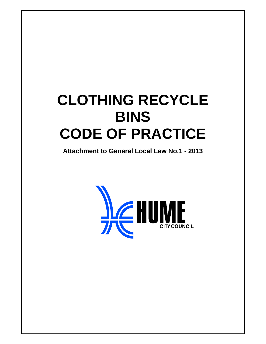# **CLOTHING RECYCLE BINS CODE OF PRACTICE**

**Attachment to General Local Law No.1 - 2013** 

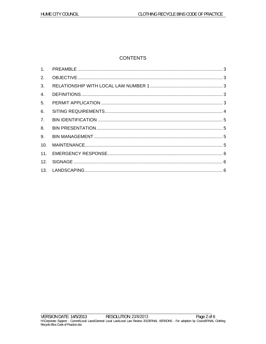# **CONTENTS**

| 2.             |  |
|----------------|--|
| 3 <sub>1</sub> |  |
| 4.             |  |
| 5.             |  |
| 6.             |  |
| 7 <sub>1</sub> |  |
| 8.             |  |
| 9.             |  |
| 10.            |  |
|                |  |
|                |  |
|                |  |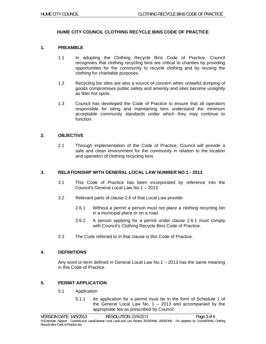# **HUME CITY COUNCIL CLOTHING RECYCLE BINS CODE OF PRACTICE**

## **1. PREAMBLE**

- 1.1 In adopting the Clothing Recycle Bins Code of Practice, Council recognises that clothing recycling bins are critical to charities by providing opportunities for the community to recycle clothing and by reusing the clothing for charitable purposes.
- 1.2 Recycling bin sites are also a source of concern when unlawful dumping of goods compromises public safety and amenity and sites become unsightly as litter hot spots.
- 1.3 Council has developed the Code of Practice to ensure that all operators responsible for siting and maintaining bins understand the minimum acceptable community standards under which they may continue to function.

#### **2. OBJECTIVE**

2.1 Through implementation of the Code of Practice, Council will provide a safe and clean environment for the community in relation to the location and operation of clothing recycling bins.

# **3. RELATIONSHIP WITH GENERAL LOCAL LAW NUMBER NO.1 - 2013**

- 3.1 This Code of Practice has been incorporated by reference into the Council's General Local Law No.1 – 2013.
- 3.2 Relevant parts of clause 2.6 of that Local Law provide:
	- 2.6.1 Without a permit a person must not place a clothing recycling bin in a municipal place or on a road.
	- 2.6.2 A person applying for a permit under clause 2.6.1 must comply with Council's Clothing Recycle Bins Code of Practice.
- 3.3 The Code referred to in that clause is this Code of Practice.

#### **4. DEFINITIONS**

Any word or term defined in General Local Law No.1 – 2013 has the same meaning in this Code of Practice.

# **5. PERMIT APPLICATION**

- 5.1 Application
	- 5.1.1 An application for a permit must be in the form of Schedule 1 of the General Local Law No.  $1 - 2013$  and accompanied by the appropriate fee as prescribed by Council.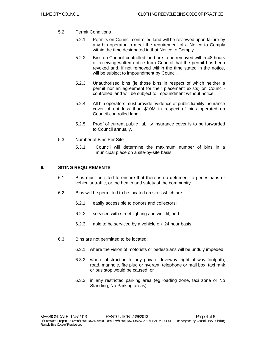- 5.2 Permit Conditions
	- 5.2.1 Permits on Council-controlled land will be reviewed upon failure by any bin operator to meet the requirement of a Notice to Comply within the time designated in that Notice to Comply.
	- 5.2.2 Bins on Council-controlled land are to be removed within 48 hours of receiving written notice from Council that the permit has been revoked and, if not removed within the time stated in the notice, will be subject to impoundment by Council.
	- 5.2.3 Unauthorised bins (ie those bins in respect of which neither a permit nor an agreement for their placement exists) on Councilcontrolled land will be subject to impoundment without notice.
	- 5.2.4 All bin operators must provide evidence of public liability insurance cover of not less than \$10M in respect of bins operated on Council-controlled land.
	- 5.2.5 Proof of current public liability insurance cover is to be forwarded to Council annually.
- 5.3 Number of Bins Per Site
	- 5.3.1 Council will determine the maximum number of bins in a municipal place on a site-by-site basis.

#### **6. SITING REQUIREMENTS**

- 6.1 Bins must be sited to ensure that there is no detriment to pedestrians or vehicular traffic, or the health and safety of the community.
- 6.2 Bins will be permitted to be located on sites which are:
	- 6.2.1 easily accessible to donors and collectors;
	- 6.2.2 serviced with street lighting and well lit; and
	- 6.2.3 able to be serviced by a vehicle on 24 hour basis.
- 6.3 Bins are not permitted to be located:
	- 6.3.1 where the vision of motorists or pedestrians will be unduly impeded;
	- 6.3.2 where obstruction to any private driveway, right of way footpath, road, manhole, fire plug or hydrant, telephone or mail box, taxi rank or bus stop would be caused; or
	- 6.3.3 in any restricted parking area (eg loading zone, taxi zone or No Standing, No Parking areas).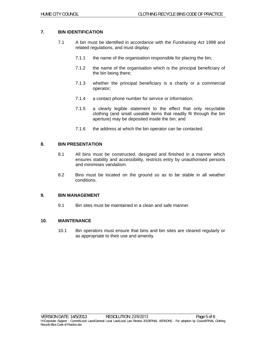# **7. BIN IDENTIFICATION**

- 7.1 A bin must be identified in accordance with the *Fundraising Act* 1998 and related regulations, and must display:
	- 7.1.1 the name of the organisation responsible for placing the bin;
	- 7.1.2 the name of the organisation which is the principal beneficiary of the bin being there;
	- 7.1.3 whether the principal beneficiary is a charity or a commercial operator;
	- 7.1.4 a contact phone number for service or information;
	- 7.1.5 a clearly legible statement to the effect that only recyclable clothing (and small useable items that readily fit through the bin aperture) may be deposited inside the bin; and
	- 7.1.6 the address at which the bin operator can be contacted.

#### **8. BIN PRESENTATION**

- 8.1 All bins must be constructed, designed and finished in a manner which ensures stability and accessibility, restricts entry by unauthorised persons and minimises vandalism.
- 8.2 Bins must be located on the ground so as to be stable in all weather conditions.

# **9. BIN MANAGEMENT**

9.1 Bin sites must be maintained in a clean and safe manner.

#### **10. MAINTENANCE**

10.1 Bin operators must ensure that bins and bin sites are cleared regularly or as appropriate to their use and amenity.